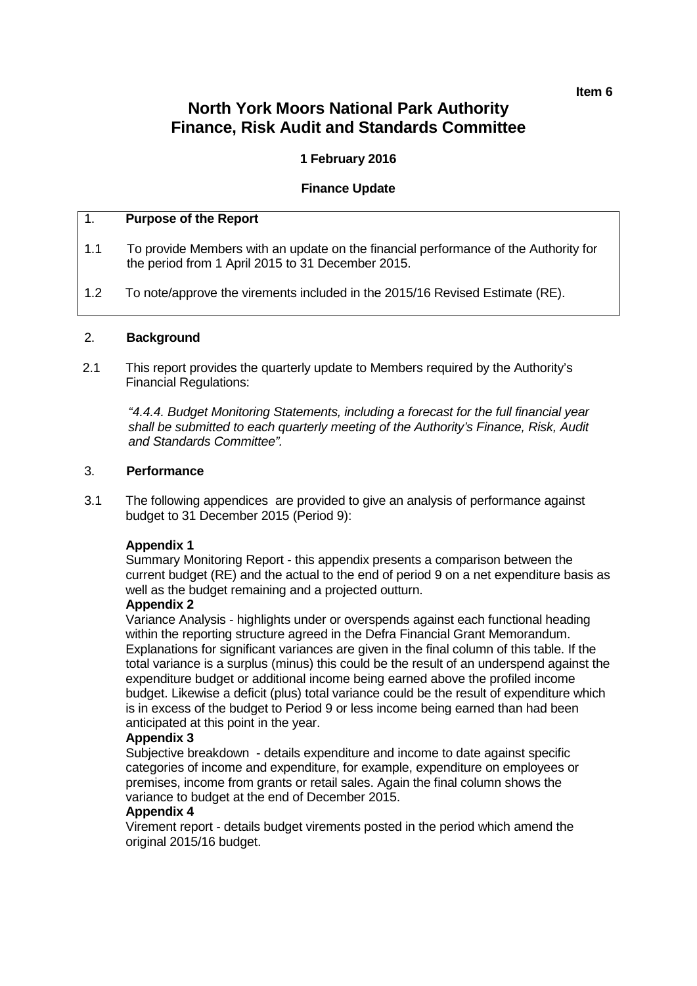#### **Item 6**

# **North York Moors National Park Authority Finance, Risk Audit and Standards Committee**

# **1 February 2016**

# **Finance Update**

# 1. **Purpose of the Report**

- 1.1 To provide Members with an update on the financial performance of the Authority for the period from 1 April 2015 to 31 December 2015.
- 1.2 To note/approve the virements included in the 2015/16 Revised Estimate (RE).

## 2. **Background**

2.1 This report provides the quarterly update to Members required by the Authority's Financial Regulations:

*"4.4.4. Budget Monitoring Statements, including a forecast for the full financial year shall be submitted to each quarterly meeting of the Authority's Finance, Risk, Audit and Standards Committee".*

## 3. **Performance**

3.1 The following appendicesare provided to give an analysis of performance against budget to 31 December 2015 (Period 9):

# **Appendix 1**

Summary Monitoring Report - this appendix presents a comparison between the current budget (RE) and the actual to the end of period 9 on a net expenditure basis as well as the budget remaining and a projected outturn.

### **Appendix 2**

Variance Analysis - highlights under or overspends against each functional heading within the reporting structure agreed in the Defra Financial Grant Memorandum. Explanations for significant variances are given in the final column of this table. If the total variance is a surplus (minus) this could be the result of an underspend against the expenditure budget or additional income being earned above the profiled income budget. Likewise a deficit (plus) total variance could be the result of expenditure which is in excess of the budget to Period 9 or less income being earned than had been anticipated at this point in the year.

# **Appendix 3**

Subjective breakdown - details expenditure and income to date against specific categories of income and expenditure, for example, expenditure on employees or premises, income from grants or retail sales. Again the final column shows the variance to budget at the end of December 2015.

### **Appendix 4**

Virement report - details budget virements posted in the period which amend the original 2015/16 budget.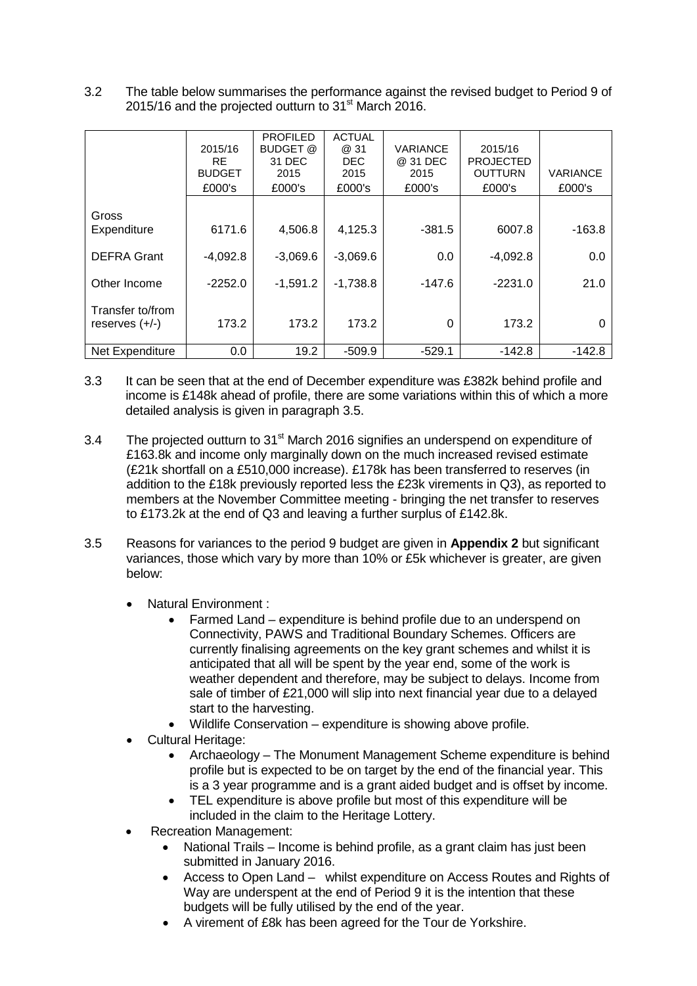3.2 The table below summarises the performance against the revised budget to Period 9 of 2015/16 and the projected outturn to 31<sup>st</sup> March 2016.

|                                      | 2015/16<br><b>RE</b><br><b>BUDGET</b><br>£000's | <b>PROFILED</b><br><b>BUDGET</b> @<br>31 DEC<br>2015<br>£000's | <b>ACTUAL</b><br>@ 31<br><b>DEC</b><br>2015<br>£000's | VARIANCE<br>@ 31 DEC<br>2015<br>£000's | 2015/16<br><b>PROJECTED</b><br><b>OUTTURN</b><br>£000's | VARIANCE<br>£000's |
|--------------------------------------|-------------------------------------------------|----------------------------------------------------------------|-------------------------------------------------------|----------------------------------------|---------------------------------------------------------|--------------------|
| Gross<br>Expenditure                 | 6171.6                                          | 4,506.8                                                        | 4,125.3                                               | $-381.5$                               | 6007.8                                                  | $-163.8$           |
| <b>DEFRA Grant</b>                   | $-4,092.8$                                      | $-3,069.6$                                                     | $-3,069.6$                                            | 0.0                                    | $-4,092.8$                                              | 0.0                |
| Other Income                         | $-2252.0$                                       | $-1,591.2$                                                     | $-1,738.8$                                            | $-147.6$                               | $-2231.0$                                               | 21.0               |
| Transfer to/from<br>reserves $(+/-)$ | 173.2                                           | 173.2                                                          | 173.2                                                 | 0                                      | 173.2                                                   | 0                  |
| Net Expenditure                      | 0.0                                             | 19.2                                                           | $-509.9$                                              | $-529.1$                               | $-142.8$                                                | $-142.8$           |

- 3.3 It can be seen that at the end of December expenditure was £382k behind profile and income is £148k ahead of profile, there are some variations within this of which a more detailed analysis is given in paragraph 3.5.
- 3.4 The projected outturn to 31<sup>st</sup> March 2016 signifies an underspend on expenditure of £163.8k and income only marginally down on the much increased revised estimate (£21k shortfall on a £510,000 increase). £178k has been transferred to reserves (in addition to the £18k previously reported less the £23k virements in Q3), as reported to members at the November Committee meeting - bringing the net transfer to reserves to £173.2k at the end of Q3 and leaving a further surplus of £142.8k.
- 3.5 Reasons for variances to the period 9 budget are given in **Appendix 2** but significant variances, those which vary by more than 10% or £5k whichever is greater, are given below:
	- Natural Environment :
		- Farmed Land expenditure is behind profile due to an underspend on Connectivity, PAWS and Traditional Boundary Schemes. Officers are currently finalising agreements on the key grant schemes and whilst it is anticipated that all will be spent by the year end, some of the work is weather dependent and therefore, may be subject to delays. Income from sale of timber of £21,000 will slip into next financial year due to a delayed start to the harvesting.
		- Wildlife Conservation expenditure is showing above profile.
	- Cultural Heritage:
		- Archaeology The Monument Management Scheme expenditure is behind profile but is expected to be on target by the end of the financial year. This is a 3 year programme and is a grant aided budget and is offset by income.
		- TEL expenditure is above profile but most of this expenditure will be included in the claim to the Heritage Lottery.
	- Recreation Management:
		- National Trails Income is behind profile, as a grant claim has just been submitted in January 2016.
		- Access to Open Land whilst expenditure on Access Routes and Rights of Way are underspent at the end of Period 9 it is the intention that these budgets will be fully utilised by the end of the year.
		- A virement of £8k has been agreed for the Tour de Yorkshire.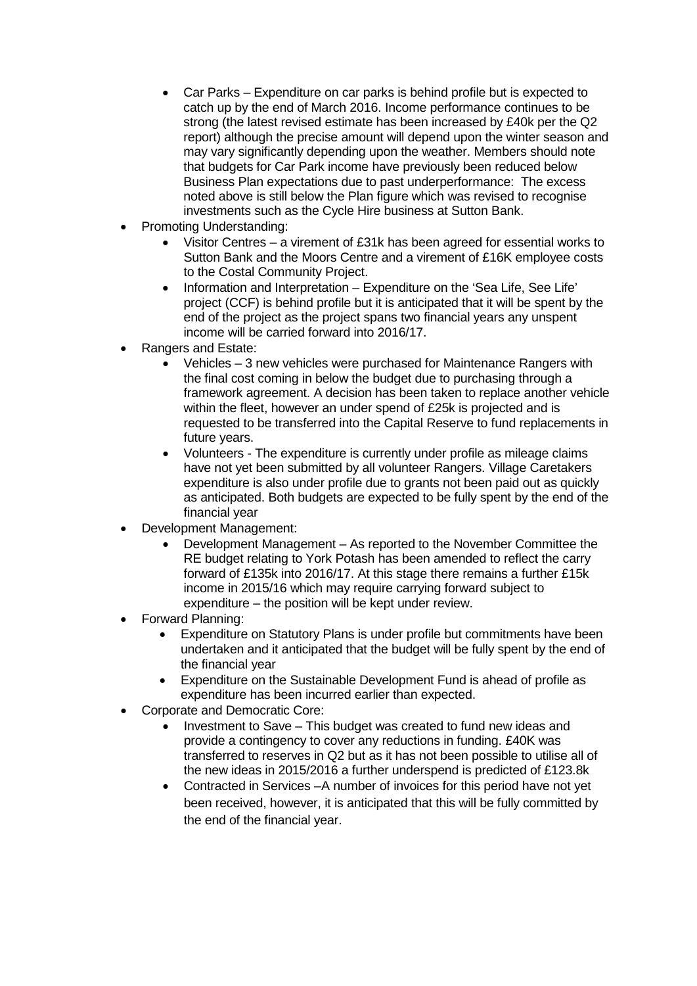- Car Parks Expenditure on car parks is behind profile but is expected to catch up by the end of March 2016. Income performance continues to be strong (the latest revised estimate has been increased by £40k per the Q2 report) although the precise amount will depend upon the winter season and may vary significantly depending upon the weather. Members should note that budgets for Car Park income have previously been reduced below Business Plan expectations due to past underperformance: The excess noted above is still below the Plan figure which was revised to recognise investments such as the Cycle Hire business at Sutton Bank.
- Promoting Understanding:
	- Visitor Centres a virement of £31k has been agreed for essential works to Sutton Bank and the Moors Centre and a virement of £16K employee costs to the Costal Community Project.
	- Information and Interpretation Expenditure on the 'Sea Life, See Life' project (CCF) is behind profile but it is anticipated that it will be spent by the end of the project as the project spans two financial years any unspent income will be carried forward into 2016/17.
- Rangers and Estate:
	- Vehicles 3 new vehicles were purchased for Maintenance Rangers with the final cost coming in below the budget due to purchasing through a framework agreement. A decision has been taken to replace another vehicle within the fleet, however an under spend of £25k is projected and is requested to be transferred into the Capital Reserve to fund replacements in future years.
	- Volunteers The expenditure is currently under profile as mileage claims have not yet been submitted by all volunteer Rangers. Village Caretakers expenditure is also under profile due to grants not been paid out as quickly as anticipated. Both budgets are expected to be fully spent by the end of the financial year
- Development Management:
	- Development Management As reported to the November Committee the RE budget relating to York Potash has been amended to reflect the carry forward of £135k into 2016/17. At this stage there remains a further £15k income in 2015/16 which may require carrying forward subject to expenditure – the position will be kept under review.
- Forward Planning:
	- Expenditure on Statutory Plans is under profile but commitments have been undertaken and it anticipated that the budget will be fully spent by the end of the financial year
	- Expenditure on the Sustainable Development Fund is ahead of profile as expenditure has been incurred earlier than expected.
- Corporate and Democratic Core:
	- Investment to Save This budget was created to fund new ideas and provide a contingency to cover any reductions in funding. £40K was transferred to reserves in Q2 but as it has not been possible to utilise all of the new ideas in 2015/2016 a further underspend is predicted of £123.8k
	- Contracted in Services –A number of invoices for this period have not yet been received, however, it is anticipated that this will be fully committed by the end of the financial year.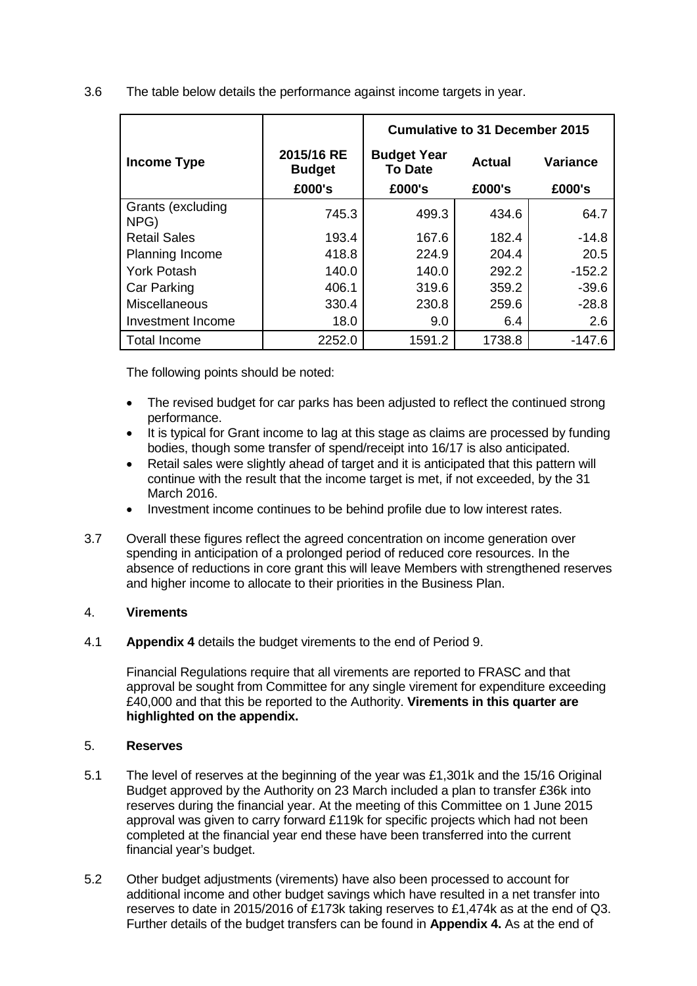|                           |                                       | <b>Cumulative to 31 December 2015</b>          |                  |                           |  |  |  |  |
|---------------------------|---------------------------------------|------------------------------------------------|------------------|---------------------------|--|--|--|--|
| <b>Income Type</b>        | 2015/16 RE<br><b>Budget</b><br>£000's | <b>Budget Year</b><br><b>To Date</b><br>£000's | Actual<br>£000's | <b>Variance</b><br>£000's |  |  |  |  |
| Grants (excluding<br>NPG) | 745.3                                 | 499.3                                          | 434.6            | 64.7                      |  |  |  |  |
| <b>Retail Sales</b>       | 193.4                                 | 167.6                                          | 182.4            | $-14.8$                   |  |  |  |  |
| <b>Planning Income</b>    | 418.8                                 | 224.9                                          | 204.4            | 20.5                      |  |  |  |  |
| <b>York Potash</b>        | 140.0                                 | 140.0                                          | 292.2            | $-152.2$                  |  |  |  |  |
| <b>Car Parking</b>        | 406.1                                 | 319.6                                          | 359.2            | $-39.6$                   |  |  |  |  |
| <b>Miscellaneous</b>      | 330.4                                 | 230.8                                          | 259.6            | $-28.8$                   |  |  |  |  |
| Investment Income         | 18.0                                  | 9.0                                            | 6.4              | 2.6                       |  |  |  |  |
| <b>Total Income</b>       | 2252.0                                | 1591.2                                         | 1738.8           | $-147.6$                  |  |  |  |  |

3.6 The table below details the performance against income targets in year.

The following points should be noted:

- The revised budget for car parks has been adjusted to reflect the continued strong performance.
- It is typical for Grant income to lag at this stage as claims are processed by funding bodies, though some transfer of spend/receipt into 16/17 is also anticipated.
- Retail sales were slightly ahead of target and it is anticipated that this pattern will continue with the result that the income target is met, if not exceeded, by the 31 March 2016.
- Investment income continues to be behind profile due to low interest rates.
- 3.7 Overall these figures reflect the agreed concentration on income generation over spending in anticipation of a prolonged period of reduced core resources. In the absence of reductions in core grant this will leave Members with strengthened reserves and higher income to allocate to their priorities in the Business Plan.

# 4. **Virements**

4.1 **Appendix 4** details the budget virements to the end of Period 9.

Financial Regulations require that all virements are reported to FRASC and that approval be sought from Committee for any single virement for expenditure exceeding £40,000 and that this be reported to the Authority. **Virements in this quarter are highlighted on the appendix.**

### 5. **Reserves**

- 5.1 The level of reserves at the beginning of the year was £1,301k and the 15/16 Original Budget approved by the Authority on 23 March included a plan to transfer £36k into reserves during the financial year. At the meeting of this Committee on 1 June 2015 approval was given to carry forward £119k for specific projects which had not been completed at the financial year end these have been transferred into the current financial year's budget.
- 5.2 Other budget adjustments (virements) have also been processed to account for additional income and other budget savings which have resulted in a net transfer into reserves to date in 2015/2016 of £173k taking reserves to £1,474k as at the end of Q3. Further details of the budget transfers can be found in **Appendix 4.** As at the end of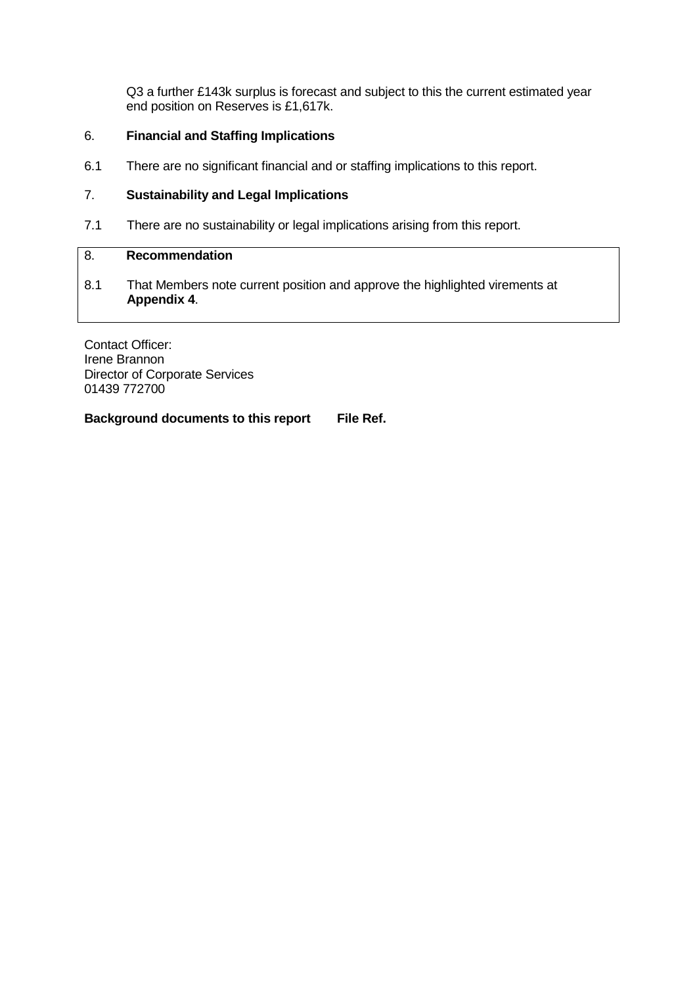Q3 a further £143k surplus is forecast and subject to this the current estimated year end position on Reserves is £1,617k.

# 6. **Financial and Staffing Implications**

6.1 There are no significant financial and or staffing implications to this report.

# 7. **Sustainability and Legal Implications**

7.1 There are no sustainability or legal implications arising from this report.

## 8. **Recommendation**

8.1 That Members note current position and approve the highlighted virements at **Appendix 4**.

Contact Officer: Irene Brannon Director of Corporate Services 01439 772700

**Background documents to this report File Ref.**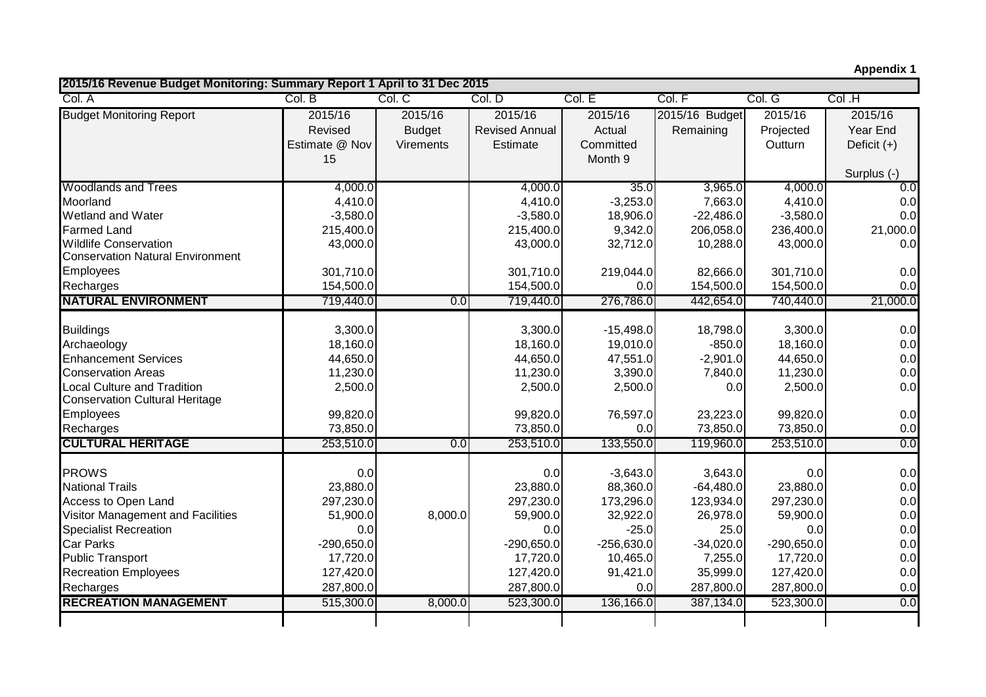**Appendix 1**

| 2015/16 Revenue Budget Monitoring: Summary Report 1 April to 31 Dec 2015    |                |               |                       |              |                |              |               |
|-----------------------------------------------------------------------------|----------------|---------------|-----------------------|--------------|----------------|--------------|---------------|
| Col. A                                                                      | Col. B         | Col, C        | Col. D                | Col. E       | Col. F         | Col. G       | Col .H        |
| <b>Budget Monitoring Report</b>                                             | 2015/16        | 2015/16       | 2015/16               | 2015/16      | 2015/16 Budget | 2015/16      | 2015/16       |
|                                                                             | Revised        | <b>Budget</b> | <b>Revised Annual</b> | Actual       | Remaining      | Projected    | Year End      |
|                                                                             | Estimate @ Nov | Virements     | Estimate              | Committed    |                | Outturn      | Deficit $(+)$ |
|                                                                             | 15             |               |                       | Month 9      |                |              |               |
|                                                                             |                |               |                       |              |                |              | Surplus (-)   |
| <b>Woodlands and Trees</b>                                                  | 4,000.0        |               | 4,000.0               | 35.0         | 3,965.0        | 4,000.0      | 0.0           |
| Moorland                                                                    | 4,410.0        |               | 4,410.0               | $-3,253.0$   | 7,663.0        | 4,410.0      | 0.0           |
| <b>Wetland and Water</b>                                                    | $-3,580.0$     |               | $-3,580.0$            | 18,906.0     | $-22,486.0$    | $-3,580.0$   | 0.0           |
| <b>Farmed Land</b>                                                          | 215,400.0      |               | 215,400.0             | 9,342.0      | 206,058.0      | 236,400.0    | 21,000.0      |
| <b>Wildlife Conservation</b>                                                | 43,000.0       |               | 43,000.0              | 32,712.0     | 10,288.0       | 43,000.0     | 0.0           |
| <b>Conservation Natural Environment</b>                                     |                |               |                       |              |                |              |               |
| Employees                                                                   | 301,710.0      |               | 301,710.0             | 219,044.0    | 82,666.0       | 301,710.0    | 0.0           |
| Recharges                                                                   | 154,500.0      |               | 154,500.0             | 0.0          | 154,500.0      | 154,500.0    | 0.0           |
| <b>NATURAL ENVIRONMENT</b>                                                  | 719,440.0      | 0.0           | 719,440.0             | 276,786.0    | 442,654.0      | 740,440.0    | 21,000.0      |
|                                                                             |                |               |                       |              |                |              |               |
| <b>Buildings</b>                                                            | 3,300.0        |               | 3,300.0               | $-15,498.0$  | 18,798.0       | 3,300.0      | 0.0           |
| Archaeology                                                                 | 18,160.0       |               | 18,160.0              | 19,010.0     | $-850.0$       | 18,160.0     | 0.0           |
| <b>Enhancement Services</b>                                                 | 44,650.0       |               | 44,650.0              | 47,551.0     | $-2,901.0$     | 44,650.0     | 0.0           |
| <b>Conservation Areas</b>                                                   | 11,230.0       |               | 11,230.0              | 3,390.0      | 7,840.0        | 11,230.0     | 0.0           |
| <b>Local Culture and Tradition</b><br><b>Conservation Cultural Heritage</b> | 2,500.0        |               | 2,500.0               | 2,500.0      | 0.0            | 2,500.0      | 0.0           |
| Employees                                                                   | 99,820.0       |               | 99,820.0              | 76,597.0     | 23,223.0       | 99,820.0     | 0.0           |
| Recharges                                                                   | 73,850.0       |               | 73,850.0              | 0.0          | 73,850.0       | 73,850.0     | 0.0           |
| <b>CULTURAL HERITAGE</b>                                                    | 253,510.0      | 0.0           | 253,510.0             | 133,550.0    | 119,960.0      | 253,510.0    | 0.0           |
|                                                                             |                |               |                       |              |                |              |               |
| <b>PROWS</b>                                                                | 0.0            |               | 0.0                   | $-3,643.0$   | 3,643.0        | 0.0          | 0.0           |
| <b>National Trails</b>                                                      | 23,880.0       |               | 23,880.0              | 88,360.0     | $-64,480.0$    | 23,880.0     | 0.0           |
| Access to Open Land                                                         | 297,230.0      |               | 297,230.0             | 173,296.0    | 123,934.0      | 297,230.0    | 0.0           |
| Visitor Management and Facilities                                           | 51,900.0       | 8,000.0       | 59,900.0              | 32,922.0     | 26,978.0       | 59,900.0     | 0.0           |
| <b>Specialist Recreation</b>                                                | 0.0            |               | 0.0                   | $-25.0$      | 25.0           | 0.0          | 0.0           |
| <b>Car Parks</b>                                                            | $-290,650.0$   |               | $-290,650.0$          | $-256,630.0$ | $-34,020.0$    | $-290,650.0$ | 0.0<br>0.0    |
| <b>Public Transport</b>                                                     | 17,720.0       |               | 17,720.0              | 10,465.0     | 7,255.0        | 17,720.0     |               |
| <b>Recreation Employees</b>                                                 | 127,420.0      |               | 127,420.0             | 91,421.0     | 35,999.0       | 127,420.0    | 0.0           |
| Recharges                                                                   | 287,800.0      |               | 287,800.0             | 0.0          | 287,800.0      | 287,800.0    | 0.0           |
| <b>RECREATION MANAGEMENT</b>                                                | 515,300.0      | 8,000.0       | 523,300.0             | 136,166.0    | 387,134.0      | 523,300.0    | 0.0           |
|                                                                             |                |               |                       |              |                |              |               |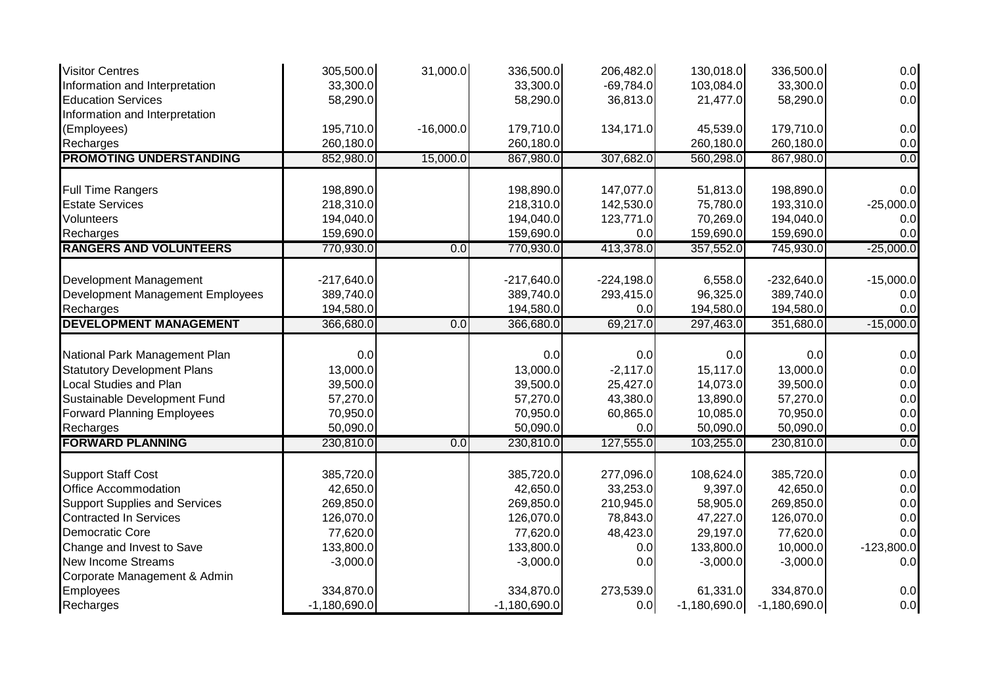| <b>Visitor Centres</b>                                     | 305,500.0      | 31,000.0         | 336,500.0      | 206,482.0    | 130,018.0      | 336,500.0      | 0.0          |
|------------------------------------------------------------|----------------|------------------|----------------|--------------|----------------|----------------|--------------|
| Information and Interpretation                             | 33,300.0       |                  | 33,300.0       | $-69,784.0$  | 103,084.0      | 33,300.0       | 0.0          |
| <b>Education Services</b>                                  | 58,290.0       |                  | 58,290.0       | 36,813.0     | 21,477.0       | 58,290.0       | 0.0          |
| Information and Interpretation                             |                |                  |                |              |                |                |              |
| (Employees)                                                | 195,710.0      | $-16,000.0$      | 179,710.0      | 134,171.0    | 45,539.0       | 179,710.0      | 0.0          |
| Recharges                                                  | 260,180.0      |                  | 260,180.0      |              | 260,180.0      | 260,180.0      | 0.0          |
| <b>PROMOTING UNDERSTANDING</b>                             | 852,980.0      | 15,000.0         | 867,980.0      | 307,682.0    | 560,298.0      | 867,980.0      | 0.0          |
| <b>Full Time Rangers</b>                                   | 198,890.0      |                  | 198,890.0      | 147,077.0    | 51,813.0       | 198,890.0      | 0.0          |
| <b>Estate Services</b>                                     | 218,310.0      |                  | 218,310.0      | 142,530.0    | 75,780.0       | 193,310.0      | $-25,000.0$  |
| Volunteers                                                 | 194,040.0      |                  | 194,040.0      | 123,771.0    | 70,269.0       | 194,040.0      | 0.0          |
| Recharges                                                  | 159,690.0      |                  | 159,690.0      | 0.0          | 159,690.0      | 159,690.0      | 0.0          |
| <b>RANGERS AND VOLUNTEERS</b>                              | 770,930.0      | $\overline{0.0}$ | 770,930.0      | 413,378.0    | 357,552.0      | 745,930.0      | $-25,000.0$  |
|                                                            | $-217,640.0$   |                  | $-217,640.0$   | $-224,198.0$ | 6,558.0        | $-232,640.0$   | $-15,000.0$  |
| Development Management<br>Development Management Employees | 389,740.0      |                  | 389,740.0      | 293,415.0    | 96,325.0       | 389,740.0      | 0.0          |
| Recharges                                                  | 194,580.0      |                  | 194,580.0      | 0.0          | 194,580.0      | 194,580.0      | 0.0          |
| <b>DEVELOPMENT MANAGEMENT</b>                              | 366,680.0      | 0.0              |                |              |                |                | $-15,000.0$  |
|                                                            |                |                  | 366,680.0      | 69,217.0     | 297,463.0      | 351,680.0      |              |
| National Park Management Plan                              | 0.0            |                  | 0.0            | 0.0          | 0.0            | 0.0            | 0.0          |
| <b>Statutory Development Plans</b>                         | 13,000.0       |                  | 13,000.0       | $-2,117.0$   | 15,117.0       | 13,000.0       | 0.0          |
| Local Studies and Plan                                     | 39,500.0       |                  | 39,500.0       | 25,427.0     | 14,073.0       | 39,500.0       | 0.0          |
| Sustainable Development Fund                               | 57,270.0       |                  | 57,270.0       | 43,380.0     | 13,890.0       | 57,270.0       | 0.0          |
| <b>Forward Planning Employees</b>                          | 70,950.0       |                  | 70,950.0       | 60,865.0     | 10,085.0       | 70,950.0       | 0.0          |
| Recharges                                                  | 50,090.0       |                  | 50,090.0       | 0.0          | 50,090.0       | 50,090.0       | 0.0          |
| <b>FORWARD PLANNING</b>                                    | 230,810.0      | 0.0              | 230,810.0      | 127,555.0    | 103,255.0      | 230,810.0      | 0.0          |
| <b>Support Staff Cost</b>                                  | 385,720.0      |                  | 385,720.0      | 277,096.0    | 108,624.0      | 385,720.0      | 0.0          |
| Office Accommodation                                       | 42,650.0       |                  | 42,650.0       | 33,253.0     | 9,397.0        | 42,650.0       | 0.0          |
| <b>Support Supplies and Services</b>                       | 269,850.0      |                  | 269,850.0      | 210,945.0    | 58,905.0       | 269,850.0      | 0.0          |
| <b>Contracted In Services</b>                              | 126,070.0      |                  | 126,070.0      | 78,843.0     | 47,227.0       | 126,070.0      | 0.0          |
| Democratic Core                                            | 77,620.0       |                  | 77,620.0       | 48,423.0     | 29,197.0       | 77,620.0       | 0.0          |
| Change and Invest to Save                                  | 133,800.0      |                  | 133,800.0      | 0.0          | 133,800.0      | 10,000.0       | $-123,800.0$ |
| <b>New Income Streams</b>                                  | $-3,000.0$     |                  | $-3,000.0$     | 0.0          | $-3,000.0$     | $-3,000.0$     | 0.0          |
| Corporate Management & Admin                               |                |                  |                |              |                |                |              |
| Employees                                                  | 334,870.0      |                  | 334,870.0      | 273,539.0    | 61,331.0       | 334,870.0      | 0.0          |
| Recharges                                                  | $-1,180,690.0$ |                  | $-1,180,690.0$ | 0.0          | $-1,180,690.0$ | $-1,180,690.0$ | 0.0          |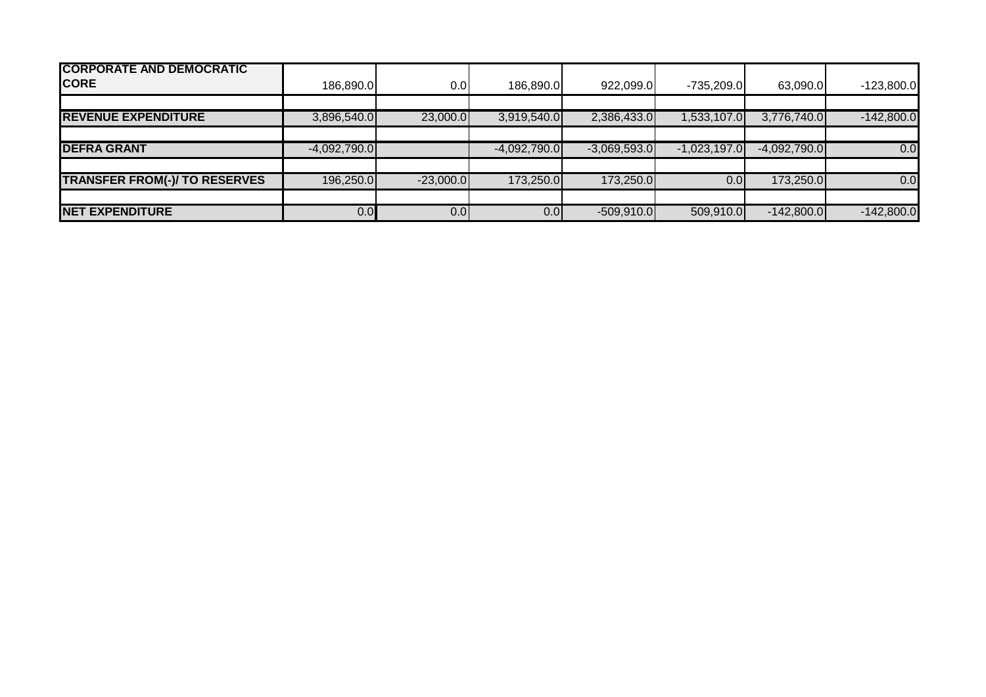| <b>CORPORATE AND DEMOCRATIC</b><br><b>CORE</b> | 186,890.0      | 0.0         | 186,890.0      | 922,099.0      | $-735,209.0$   | 63,090.0       | $-123,800.0$ |
|------------------------------------------------|----------------|-------------|----------------|----------------|----------------|----------------|--------------|
|                                                |                |             |                |                |                |                |              |
| <b>REVENUE EXPENDITURE</b>                     | 3,896,540.0    | 23,000.0    | 3,919,540.0    | 2,386,433.0    | 1,533,107.0    | 3,776,740.0    | $-142,800.0$ |
|                                                |                |             |                |                |                |                |              |
| <b>DEFRA GRANT</b>                             | $-4,092,790.0$ |             | $-4,092,790.0$ | $-3,069,593.0$ | $-1,023,197.0$ | $-4,092,790.0$ | 0.0          |
|                                                |                |             |                |                |                |                |              |
| <b>TRANSFER FROM(-)/ TO RESERVES</b>           | 196,250.0      | $-23,000.0$ | 173,250.0      | 173,250.0      | 0.0            | 173,250.0      | 0.0          |
|                                                |                |             |                |                |                |                |              |
| <b>NET EXPENDITURE</b>                         | 0.0            | 0.0         | 0.01           | $-509,910.0$   | 509,910.0      | $-142,800.0$   | $-142,800.0$ |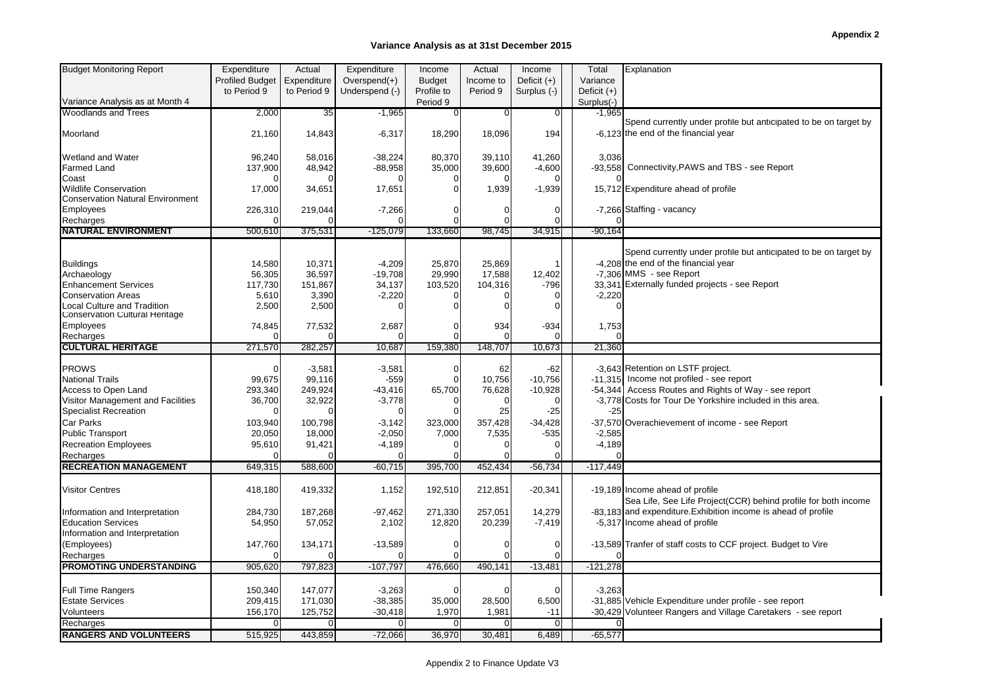#### **Variance Analysis as at 31st December 2015**

| <b>Budget Monitoring Report</b>         | Expenditure            | Actual      | Expenditure     | Income        | Actual         | Income         | Total         | Explanation                                                      |
|-----------------------------------------|------------------------|-------------|-----------------|---------------|----------------|----------------|---------------|------------------------------------------------------------------|
|                                         | <b>Profiled Budget</b> | Expenditure | Overspend $(+)$ | <b>Budget</b> | Income to      | Deficit $(+)$  | Variance      |                                                                  |
|                                         | to Period 9            | to Period 9 | Underspend (-)  | Profile to    | Period 9       | Surplus (-)    | Deficit $(+)$ |                                                                  |
| Variance Analysis as at Month 4         |                        |             |                 | Period 9      |                |                | Surplus(-)    |                                                                  |
| <b>Woodlands and Trees</b>              | 2,000                  | 35          | $-1,965$        | 0             | 0              | $\overline{0}$ | $-1,965$      |                                                                  |
|                                         |                        |             |                 |               |                |                |               | Spend currently under profile but anticipated to be on target by |
| Moorland                                | 21,160                 | 14,843      | $-6,317$        | 18,290        | 18,096         | 194            |               | -6.123 the end of the financial year                             |
|                                         |                        |             |                 |               |                |                |               |                                                                  |
| <b>Wetland and Water</b>                | 96,240                 | 58,016      | $-38,224$       | 80,370        | 39,110         | 41,260         | 3,036         |                                                                  |
| <b>Farmed Land</b>                      | 137,900                | 48,942      | $-88,958$       | 35,000        | 39,600         | $-4,600$       |               | -93,558 Connectivity, PAWS and TBS - see Report                  |
| Coast                                   |                        |             |                 |               | $\sqrt{ }$     |                |               |                                                                  |
| <b>Wildlife Conservation</b>            | 17,000                 | 34,651      | 17,651          | $\Omega$      | 1,939          | $-1,939$       |               | 15,712 Expenditure ahead of profile                              |
| <b>Conservation Natural Environment</b> |                        |             |                 |               |                |                |               |                                                                  |
| <b>Employees</b>                        | 226,310                | 219,044     | $-7,266$        | ∩             | 0              | $\overline{0}$ |               | -7,266 Staffing - vacancy                                        |
| Recharges                               |                        |             |                 | $\Omega$      | $\mathcal{C}$  | $\Omega$       |               |                                                                  |
| <b>NATURAL ENVIRONMENT</b>              | 500,610                | 375,531     | $-125,079$      | 133,660       | 98,745         | 34,915         | $-90.164$     |                                                                  |
|                                         |                        |             |                 |               |                |                |               |                                                                  |
|                                         |                        |             |                 |               |                |                |               | Spend currently under profile but anticipated to be on target by |
| <b>Buildings</b>                        | 14,580                 | 10,371      | $-4,209$        | 25,870        | 25,869         |                |               | -4,208 the end of the financial year                             |
| Archaeology                             | 56,305                 | 36,597      | $-19,708$       | 29,990        | 17,588         | 12,402         |               | -7.306 MMS - see Report                                          |
| <b>Enhancement Services</b>             | 117,730                | 151,867     | 34,137          | 103,520       | 104,316        | $-796$         |               | 33,341 Externally funded projects - see Report                   |
| <b>Conservation Areas</b>               | 5,610                  | 3,390       | $-2,220$        | $\Omega$      | $\Omega$       | $\overline{0}$ | $-2,220$      |                                                                  |
| Local Culture and Tradition             | 2,500                  | 2,500       |                 | $\Omega$      | $\Omega$       | $\Omega$       |               |                                                                  |
| Conservation Cultural Heritage          |                        |             |                 |               |                |                |               |                                                                  |
| <b>Employees</b>                        | 74,845                 | 77,532      | 2,687           | $\Omega$      | 934            | $-934$         | 1,753         |                                                                  |
| Recharges                               |                        |             |                 | $\Omega$      |                |                |               |                                                                  |
| <b>CULTURAL HERITAGE</b>                | 271,570                | 282,257     | 10,687          | 159,380       | 148,707        | 10,673         | 21,360        |                                                                  |
|                                         |                        |             |                 |               |                |                |               |                                                                  |
| <b>PROWS</b>                            |                        | $-3,581$    | $-3,581$        | $\Omega$      | 62             | $-62$          |               | -3,643 Retention on LSTF project.                                |
| <b>National Trails</b>                  | 99,675                 | 99,116      | $-559$          | $\Omega$      | 10,756         | $-10,756$      |               | -11,315 Income not profiled - see report                         |
| Access to Open Land                     | 293,340                | 249,924     | $-43,416$       | 65,700        | 76,628         | $-10,928$      |               | -54,344 Access Routes and Rights of Way - see report             |
| Visitor Management and Facilities       | 36,700                 | 32,922      | $-3,778$        | $\Omega$      | $\overline{0}$ | $\Omega$       |               | -3,778 Costs for Tour De Yorkshire included in this area.        |
| <b>Specialist Recreation</b>            | ∩                      |             | $\Omega$        | $\Omega$      | 25             | $-25$          | $-25$         |                                                                  |
| Car Parks                               | 103,940                | 100,798     | $-3,142$        | 323,000       | 357,428        | $-34,428$      |               | -37,570 Overachievement of income - see Report                   |
| <b>Public Transport</b>                 | 20,050                 | 18,000      | $-2,050$        | 7,000         | 7,535          | $-535$         | $-2,585$      |                                                                  |
| <b>Recreation Employees</b>             | 95,610                 | 91,421      | $-4,189$        | $\Omega$      |                | $\overline{0}$ | $-4,189$      |                                                                  |
| Recharges                               |                        |             |                 |               | $\sqrt{ }$     | $\Omega$       |               |                                                                  |
| <b>RECREATION MANAGEMENT</b>            | 649,315                | 588,600     | $-60,715$       | 395,700       | 452,434        | $-56,734$      | $-117,449$    |                                                                  |
|                                         |                        |             |                 |               |                |                |               |                                                                  |
| <b>Visitor Centres</b>                  | 418,180                | 419,332     | 1,152           | 192,510       | 212,851        | $-20,341$      |               | -19,189 Income ahead of profile                                  |
|                                         |                        |             |                 |               |                |                |               | Sea Life, See Life Project(CCR) behind profile for both income   |
| Information and Interpretation          | 284,730                | 187,268     | $-97,462$       | 271,330       | 257,051        | 14,279         |               | -83,183 and expenditure. Exhibition income is ahead of profile   |
| <b>Education Services</b>               | 54,950                 | 57,052      | 2,102           | 12,820        | 20,239         | $-7,419$       |               | -5,317 Income ahead of profile                                   |
| Information and Interpretation          |                        |             |                 |               |                |                |               |                                                                  |
| (Employees)                             | 147,760                | 134,171     | $-13,589$       | 0             | C              | $\overline{0}$ |               | -13,589 Tranfer of staff costs to CCF project. Budget to Vire    |
| Recharges                               |                        |             |                 | $\Omega$      | $\Omega$       | $\Omega$       |               |                                                                  |
| <b>PROMOTING UNDERSTANDING</b>          | 905,620                | 797,823     | $-107,797$      | 476,660       | 490,141        | $-13,481$      | $-121.278$    |                                                                  |
|                                         |                        |             |                 |               |                |                |               |                                                                  |
| <b>Full Time Rangers</b>                | 150,340                | 147,077     | $-3,263$        | $\Omega$      | $\Omega$       | $\Omega$       | $-3.263$      |                                                                  |
| <b>Estate Services</b>                  | 209,415                | 171,030     | $-38,385$       | 35,000        | 28,500         | 6,500          |               | -31,885 Vehicle Expenditure under profile - see report           |
| Volunteers                              | 156,170                | 125,752     | $-30,418$       | 1,970         | 1,981          | $-11$          |               | -30,429 Volunteer Rangers and Village Caretakers - see report    |
| Recharges                               |                        | $\Omega$    | $\overline{0}$  | 0             | 0              | $\overline{0}$ |               |                                                                  |
| <b>RANGERS AND VOLUNTEERS</b>           | 515,925                | 443,859     | $-72,066$       | 36,970        | 30,481         | 6,489          | $-65,577$     |                                                                  |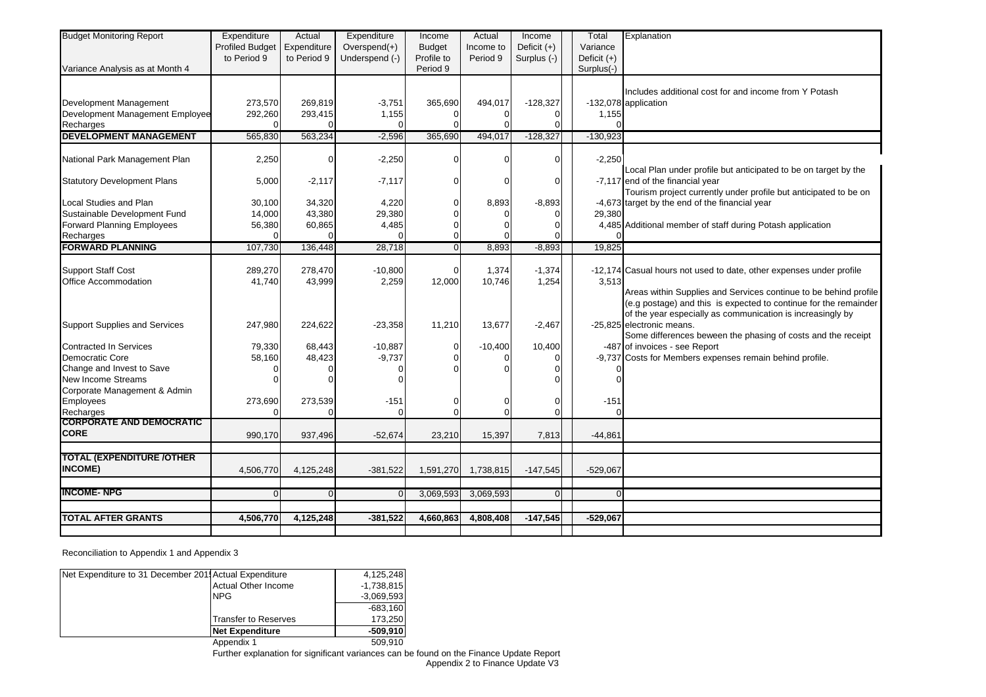| <b>Budget Monitoring Report</b>                           | Expenditure<br><b>Profiled Budget</b><br>to Period 9 | Actual<br>Expenditure<br>to Period 9 | Expenditure<br>Overspend $(+)$<br>Underspend (-) | Income<br><b>Budget</b><br>Profile to | Actual<br>Income to<br>Period 9 | Income<br>Deficit $(+)$<br>Surplus (-) | Total<br>Variance<br>Deficit $(+)$ | Explanation                                                                                                                                                                                        |
|-----------------------------------------------------------|------------------------------------------------------|--------------------------------------|--------------------------------------------------|---------------------------------------|---------------------------------|----------------------------------------|------------------------------------|----------------------------------------------------------------------------------------------------------------------------------------------------------------------------------------------------|
| Variance Analysis as at Month 4                           |                                                      |                                      |                                                  | Period 9                              |                                 |                                        | Surplus(-)                         |                                                                                                                                                                                                    |
| Development Management                                    | 273,570                                              | 269,819                              | $-3,751$                                         | 365,690                               | 494,017                         | $-128,327$                             |                                    | Includes additional cost for and income from Y Potash<br>-132,078 application                                                                                                                      |
| Development Management Employee                           | 292,260                                              | 293,415                              | 1,155                                            | 0                                     |                                 |                                        | 1,155                              |                                                                                                                                                                                                    |
| Recharges                                                 |                                                      |                                      | $\Omega$                                         | $\Omega$                              |                                 | $\Omega$                               |                                    |                                                                                                                                                                                                    |
| <b>DEVELOPMENT MANAGEMENT</b>                             | 565,830                                              | 563,234                              | $-2,596$                                         | 365,690                               | 494,017                         | $-128,327$                             | $-130,923$                         |                                                                                                                                                                                                    |
| National Park Management Plan                             | 2,250                                                | $\mathbf 0$                          | $-2,250$                                         | 0                                     | $\Omega$                        | $\Omega$                               | $-2,250$                           | Local Plan under profile but anticipated to be on target by the                                                                                                                                    |
| <b>Statutory Development Plans</b>                        | 5,000                                                | $-2,117$                             | $-7,117$                                         | 0                                     | $\Omega$                        | 0                                      |                                    | -7,117 end of the financial year<br>Tourism project currently under profile but anticipated to be on                                                                                               |
| Local Studies and Plan                                    | 30.100                                               | 34,320                               | 4,220                                            | 0                                     | 8,893                           | $-8,893$                               |                                    | -4,673 target by the end of the financial year                                                                                                                                                     |
| Sustainable Development Fund                              | 14,000                                               | 43,380                               | 29,380                                           | $\Omega$                              |                                 | $\Omega$                               | 29,380                             |                                                                                                                                                                                                    |
| <b>Forward Planning Employees</b><br>Recharges            | 56,380<br>$\sqrt{ }$                                 | 60,865                               | 4,485                                            | 0<br>0                                |                                 | 0                                      |                                    | 4,485 Additional member of staff during Potash application                                                                                                                                         |
| <b>FORWARD PLANNING</b>                                   | 107,730                                              | 136,448                              | 28,718                                           | $\overline{0}$                        | 8,893                           | $-8,893$                               | 19,825                             |                                                                                                                                                                                                    |
|                                                           |                                                      |                                      |                                                  |                                       |                                 |                                        |                                    |                                                                                                                                                                                                    |
| <b>Support Staff Cost</b>                                 | 289,270                                              | 278,470                              | $-10,800$                                        | 0                                     | 1,374                           | $-1,374$                               |                                    | -12,174 Casual hours not used to date, other expenses under profile                                                                                                                                |
| Office Accommodation                                      | 41,740                                               | 43,999                               | 2,259                                            | 12,000                                | 10,746                          | 1,254                                  | 3,513                              |                                                                                                                                                                                                    |
|                                                           |                                                      |                                      |                                                  |                                       |                                 |                                        |                                    | Areas within Supplies and Services continue to be behind profile<br>(e.g postage) and this is expected to continue for the remainder<br>of the year especially as communication is increasingly by |
| <b>Support Supplies and Services</b>                      | 247,980                                              | 224,622                              | $-23,358$                                        | 11,210                                | 13,677                          | $-2,467$                               |                                    | -25,825 electronic means.<br>Some differences beween the phasing of costs and the receipt                                                                                                          |
| <b>Contracted In Services</b>                             | 79,330                                               | 68,443                               | $-10,887$                                        | 0                                     | $-10,400$                       | 10,400                                 |                                    | -487 of invoices - see Report                                                                                                                                                                      |
| Democratic Core                                           | 58,160                                               | 48,423                               | $-9,737$                                         | $\Omega$                              |                                 | 0                                      |                                    | -9,737 Costs for Members expenses remain behind profile.                                                                                                                                           |
| Change and Invest to Save                                 |                                                      |                                      | 0                                                | $\Omega$                              |                                 | $\Omega$                               |                                    |                                                                                                                                                                                                    |
| <b>New Income Streams</b><br>Corporate Management & Admin |                                                      |                                      | $\Omega$                                         |                                       |                                 |                                        |                                    |                                                                                                                                                                                                    |
| <b>Employees</b>                                          | 273,690                                              | 273,539                              | $-151$                                           | 0                                     |                                 | 0                                      | $-151$                             |                                                                                                                                                                                                    |
| Recharges                                                 |                                                      |                                      | $\Omega$                                         | $\Omega$                              | $\Omega$                        | $\Omega$                               |                                    |                                                                                                                                                                                                    |
| <b>CORPORATE AND DEMOCRATIC</b>                           |                                                      |                                      |                                                  |                                       |                                 |                                        |                                    |                                                                                                                                                                                                    |
| <b>CORE</b>                                               | 990,170                                              | 937,496                              | $-52,674$                                        | 23,210                                | 15,397                          | 7,813                                  | $-44,861$                          |                                                                                                                                                                                                    |
| <b>TOTAL (EXPENDITURE /OTHER</b>                          |                                                      |                                      |                                                  |                                       |                                 |                                        |                                    |                                                                                                                                                                                                    |
| <b>INCOME)</b>                                            | 4,506,770                                            | 4,125,248                            | $-381,522$                                       | 1,591,270                             | 1,738,815                       | $-147,545$                             | $-529,067$                         |                                                                                                                                                                                                    |
|                                                           |                                                      |                                      |                                                  |                                       |                                 |                                        |                                    |                                                                                                                                                                                                    |
| <b>INCOME-NPG</b>                                         | $\Omega$                                             | $\Omega$                             | $\Omega$                                         | 3,069,593                             | 3,069,593                       | $\Omega$                               |                                    |                                                                                                                                                                                                    |
| <b>TOTAL AFTER GRANTS</b>                                 | 4,506,770                                            | 4,125,248                            | $-381,522$                                       | 4,660,863                             | 4,808,408                       | $-147,545$                             | $-529,067$                         |                                                                                                                                                                                                    |
|                                                           |                                                      |                                      |                                                  |                                       |                                 |                                        |                                    |                                                                                                                                                                                                    |

Reconciliation to Appendix 1 and Appendix 3

| Net Expenditure to 31 December 2011 Actual Expenditure |                        | 4,125,248    |
|--------------------------------------------------------|------------------------|--------------|
|                                                        | Actual Other Income    | $-1,738,815$ |
|                                                        | <b>NPG</b>             | $-3,069,593$ |
|                                                        |                        | $-683.160$   |
|                                                        | Transfer to Reserves   | 173.250      |
|                                                        | <b>Net Expenditure</b> | $-509.910$   |
|                                                        | Appendix 1             | 509.910      |

Appendix 2 to Finance Update V3 Further explanation for significant variances can be found on the Finance Update Report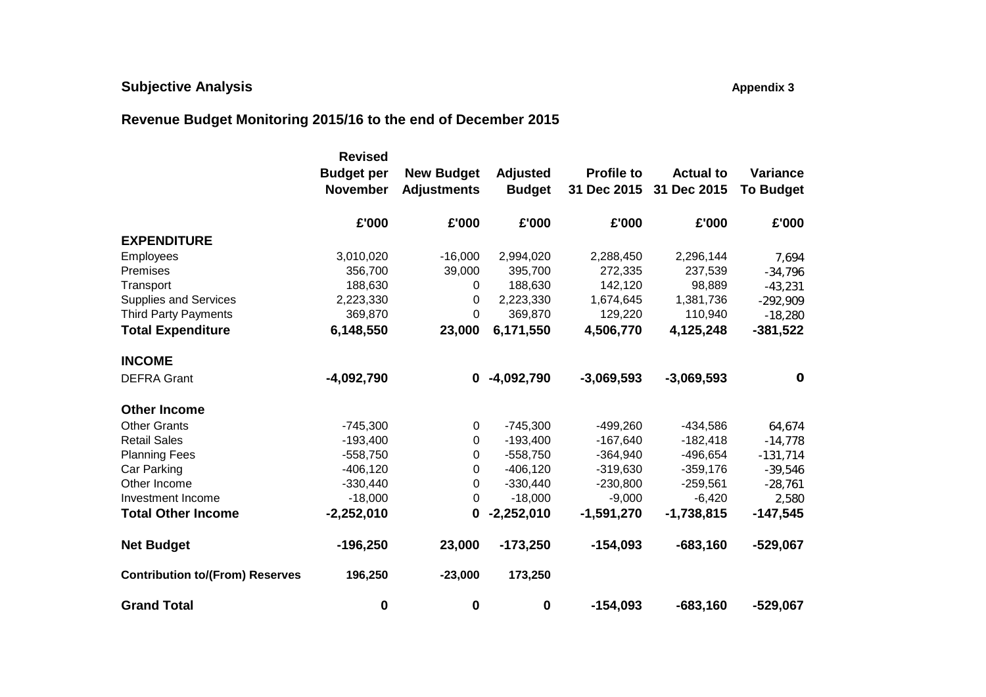# **Subjective Analysis All analysis Appendix 3 Appendix 3 Appendix 3**

# **Revenue Budget Monitoring 2015/16 to the end of December 2015**

|                                        | <b>Revised</b>    |                    |                  |                   |                  |                  |
|----------------------------------------|-------------------|--------------------|------------------|-------------------|------------------|------------------|
|                                        | <b>Budget per</b> | <b>New Budget</b>  | <b>Adjusted</b>  | <b>Profile to</b> | <b>Actual to</b> | Variance         |
|                                        | <b>November</b>   | <b>Adjustments</b> | <b>Budget</b>    | 31 Dec 2015       | 31 Dec 2015      | <b>To Budget</b> |
|                                        | £'000             | £'000              | £'000            | £'000             | £'000            | £'000            |
| <b>EXPENDITURE</b>                     |                   |                    |                  |                   |                  |                  |
| Employees                              | 3,010,020         | $-16,000$          | 2,994,020        | 2,288,450         | 2,296,144        | 7,694            |
| Premises                               | 356,700           | 39,000             | 395,700          | 272,335           | 237,539          | $-34,796$        |
| Transport                              | 188,630           | 0                  | 188,630          | 142,120           | 98,889           | $-43,231$        |
| <b>Supplies and Services</b>           | 2,223,330         | 0                  | 2,223,330        | 1,674,645         | 1,381,736        | $-292,909$       |
| <b>Third Party Payments</b>            | 369,870           | 0                  | 369,870          | 129,220           | 110,940          | $-18,280$        |
| <b>Total Expenditure</b>               | 6,148,550         | 23,000             | 6,171,550        | 4,506,770         | 4,125,248        | $-381,522$       |
| <b>INCOME</b>                          |                   |                    |                  |                   |                  |                  |
| <b>DEFRA Grant</b>                     | $-4,092,790$      | 0                  | $-4,092,790$     | $-3,069,593$      | $-3,069,593$     | $\mathbf 0$      |
| <b>Other Income</b>                    |                   |                    |                  |                   |                  |                  |
| <b>Other Grants</b>                    | $-745,300$        | 0                  | $-745,300$       | $-499,260$        | $-434,586$       | 64,674           |
| <b>Retail Sales</b>                    | $-193,400$        | 0                  | $-193,400$       | $-167,640$        | $-182,418$       | $-14,778$        |
| <b>Planning Fees</b>                   | $-558,750$        | 0                  | $-558,750$       | $-364,940$        | $-496,654$       | $-131,714$       |
| Car Parking                            | $-406, 120$       | 0                  | $-406,120$       | $-319,630$        | $-359,176$       | $-39,546$        |
| Other Income                           | $-330,440$        | 0                  | $-330,440$       | $-230,800$        | $-259,561$       | $-28,761$        |
| Investment Income                      | $-18,000$         | 0                  | $-18,000$        | $-9,000$          | $-6,420$         | 2,580            |
| <b>Total Other Income</b>              | $-2,252,010$      | 0                  | $-2,252,010$     | $-1,591,270$      | $-1,738,815$     | $-147,545$       |
| <b>Net Budget</b>                      | $-196,250$        | 23,000             | $-173,250$       | $-154,093$        | $-683,160$       | $-529,067$       |
| <b>Contribution to/(From) Reserves</b> | 196,250           | $-23,000$          | 173,250          |                   |                  |                  |
| <b>Grand Total</b>                     | 0                 | 0                  | $\boldsymbol{0}$ | $-154,093$        | $-683,160$       | $-529,067$       |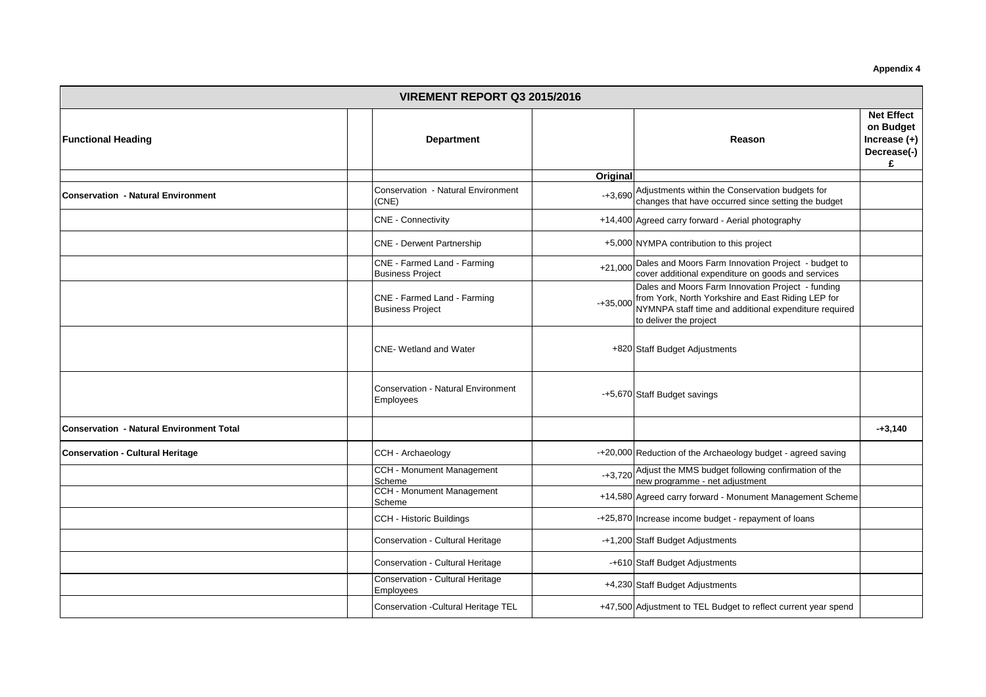**Appendix 4**

|                                                 | <b>VIREMENT REPORT Q3 2015/2016</b> |                                                        |            |                                                                                                                                                                                            |                                                                      |  |  |  |  |
|-------------------------------------------------|-------------------------------------|--------------------------------------------------------|------------|--------------------------------------------------------------------------------------------------------------------------------------------------------------------------------------------|----------------------------------------------------------------------|--|--|--|--|
| <b>Functional Heading</b>                       |                                     | <b>Department</b>                                      |            | Reason                                                                                                                                                                                     | <b>Net Effect</b><br>on Budget<br>Increase $(+)$<br>Decrease(-)<br>£ |  |  |  |  |
|                                                 |                                     |                                                        | Original   |                                                                                                                                                                                            |                                                                      |  |  |  |  |
| <b>Conservation - Natural Environment</b>       |                                     | Conservation - Natural Environment<br>(CNE)            |            | -+3,690 Adjustments within the Conservation budgets for<br>changes that have occurred since setting the budget                                                                             |                                                                      |  |  |  |  |
|                                                 |                                     | <b>CNE - Connectivity</b>                              |            | +14,400 Agreed carry forward - Aerial photography                                                                                                                                          |                                                                      |  |  |  |  |
|                                                 |                                     | <b>CNE - Derwent Partnership</b>                       |            | +5,000 NYMPA contribution to this project                                                                                                                                                  |                                                                      |  |  |  |  |
|                                                 |                                     | CNE - Farmed Land - Farming<br><b>Business Project</b> |            | +21,000 Dales and Moors Farm Innovation Project - budget to<br>cover additional expenditure on goods and services                                                                          |                                                                      |  |  |  |  |
|                                                 |                                     | CNE - Farmed Land - Farming<br><b>Business Project</b> | $-+35,000$ | Dales and Moors Farm Innovation Project - funding<br>from York, North Yorkshire and East Riding LEP for<br>NYMNPA staff time and additional expenditure required<br>to deliver the project |                                                                      |  |  |  |  |
|                                                 |                                     | <b>CNE-</b> Wetland and Water                          |            | +820 Staff Budget Adjustments                                                                                                                                                              |                                                                      |  |  |  |  |
|                                                 |                                     | <b>Conservation - Natural Environment</b><br>Employees |            | -+5,670 Staff Budget savings                                                                                                                                                               |                                                                      |  |  |  |  |
| <b>Conservation - Natural Environment Total</b> |                                     |                                                        |            |                                                                                                                                                                                            | $-+3,140$                                                            |  |  |  |  |
| <b>Conservation - Cultural Heritage</b>         |                                     | CCH - Archaeology                                      |            | -+20,000 Reduction of the Archaeology budget - agreed saving                                                                                                                               |                                                                      |  |  |  |  |
|                                                 |                                     | CCH - Monument Management<br>Scheme                    |            | -+3,720 Adjust the MMS budget following confirmation of the<br>new programme - net adjustment                                                                                              |                                                                      |  |  |  |  |
|                                                 |                                     | CCH - Monument Management<br>Scheme                    |            | +14,580 Agreed carry forward - Monument Management Scheme                                                                                                                                  |                                                                      |  |  |  |  |
|                                                 |                                     | <b>CCH - Historic Buildings</b>                        |            | -+25,870 Increase income budget - repayment of loans                                                                                                                                       |                                                                      |  |  |  |  |
|                                                 |                                     | Conservation - Cultural Heritage                       |            | -+1,200 Staff Budget Adjustments                                                                                                                                                           |                                                                      |  |  |  |  |
|                                                 |                                     | Conservation - Cultural Heritage                       |            | -+610 Staff Budget Adjustments                                                                                                                                                             |                                                                      |  |  |  |  |
|                                                 |                                     | Conservation - Cultural Heritage<br>Employees          |            | +4,230 Staff Budget Adjustments                                                                                                                                                            |                                                                      |  |  |  |  |
|                                                 |                                     | Conservation - Cultural Heritage TEL                   |            | +47,500 Adjustment to TEL Budget to reflect current year spend                                                                                                                             |                                                                      |  |  |  |  |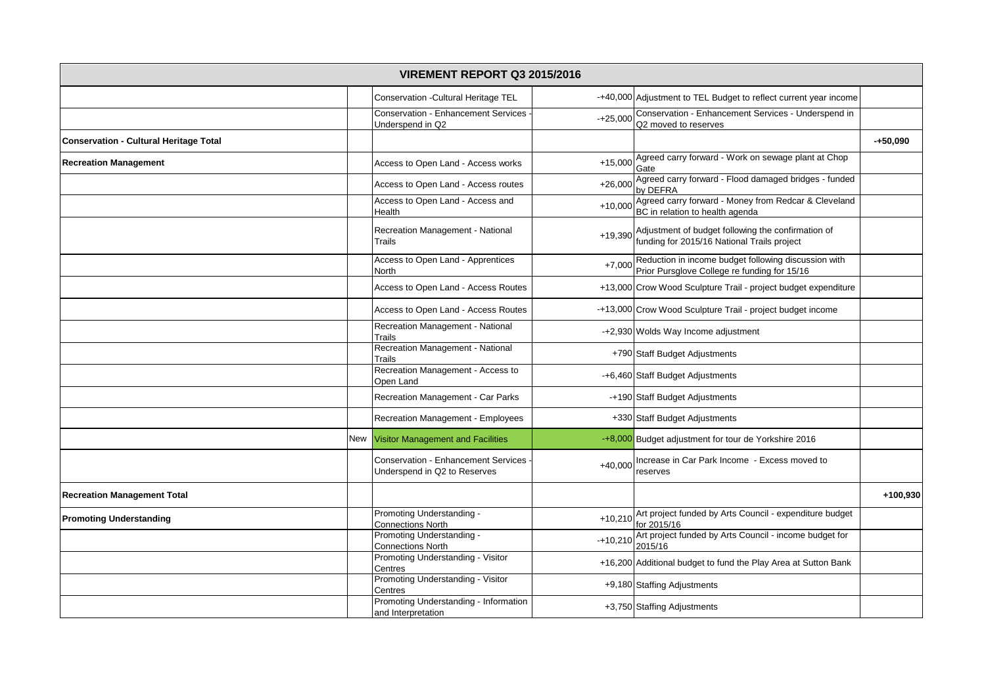|                                               |     | <b>VIREMENT REPORT Q3 2015/2016</b>                                        |            |                                                                                                      |            |
|-----------------------------------------------|-----|----------------------------------------------------------------------------|------------|------------------------------------------------------------------------------------------------------|------------|
|                                               |     | Conservation - Cultural Heritage TEL                                       |            | -+40,000 Adjustment to TEL Budget to reflect current year income                                     |            |
|                                               |     | <b>Conservation - Enhancement Services</b><br>Underspend in Q2             | $-+25.000$ | Conservation - Enhancement Services - Underspend in<br>Q2 moved to reserves                          |            |
| <b>Conservation - Cultural Heritage Total</b> |     |                                                                            |            |                                                                                                      | $-+50,090$ |
| <b>Recreation Management</b>                  |     | Access to Open Land - Access works                                         | $+15,000$  | Agreed carry forward - Work on sewage plant at Chop<br>Gate                                          |            |
|                                               |     | Access to Open Land - Access routes                                        | $+26,000$  | Agreed carry forward - Flood damaged bridges - funded<br>by DEFRA                                    |            |
|                                               |     | Access to Open Land - Access and<br>Health                                 | $+10,000$  | Agreed carry forward - Money from Redcar & Cleveland<br>BC in relation to health agenda              |            |
|                                               |     | Recreation Management - National<br>Trails                                 | $+19,390$  | Adjustment of budget following the confirmation of<br>funding for 2015/16 National Trails project    |            |
|                                               |     | Access to Open Land - Apprentices<br>North                                 | $+7,000$   | Reduction in income budget following discussion with<br>Prior Pursglove College re funding for 15/16 |            |
|                                               |     | Access to Open Land - Access Routes                                        |            | +13,000 Crow Wood Sculpture Trail - project budget expenditure                                       |            |
|                                               |     | Access to Open Land - Access Routes                                        |            | -+13,000 Crow Wood Sculpture Trail - project budget income                                           |            |
|                                               |     | Recreation Management - National<br>Trails                                 |            | -+2,930 Wolds Way Income adjustment                                                                  |            |
|                                               |     | Recreation Management - National<br>Trails                                 |            | +790 Staff Budget Adjustments                                                                        |            |
|                                               |     | Recreation Management - Access to<br>Open Land                             |            | -+6,460 Staff Budget Adjustments                                                                     |            |
|                                               |     | Recreation Management - Car Parks                                          |            | -+190 Staff Budget Adjustments                                                                       |            |
|                                               |     | Recreation Management - Employees                                          |            | +330 Staff Budget Adjustments                                                                        |            |
|                                               | New | <b>Visitor Management and Facilities</b>                                   |            | -+8,000 Budget adjustment for tour de Yorkshire 2016                                                 |            |
|                                               |     | <b>Conservation - Enhancement Services</b><br>Underspend in Q2 to Reserves | $+40,000$  | Increase in Car Park Income - Excess moved to<br>reserves                                            |            |
| <b>Recreation Management Total</b>            |     |                                                                            |            |                                                                                                      | +100,930   |
| <b>Promoting Understanding</b>                |     | Promoting Understanding -<br><b>Connections North</b>                      | $+10,210$  | Art project funded by Arts Council - expenditure budget<br>for 2015/16                               |            |
|                                               |     | Promoting Understanding -<br><b>Connections North</b>                      | $-+10,210$ | Art project funded by Arts Council - income budget for<br>2015/16                                    |            |
|                                               |     | Promoting Understanding - Visitor<br>Centres                               |            | +16,200 Additional budget to fund the Play Area at Sutton Bank                                       |            |
|                                               |     | Promoting Understanding - Visitor<br>Centres                               |            | +9,180 Staffing Adjustments                                                                          |            |
|                                               |     | Promoting Understanding - Information<br>and Interpretation                |            | +3,750 Staffing Adjustments                                                                          |            |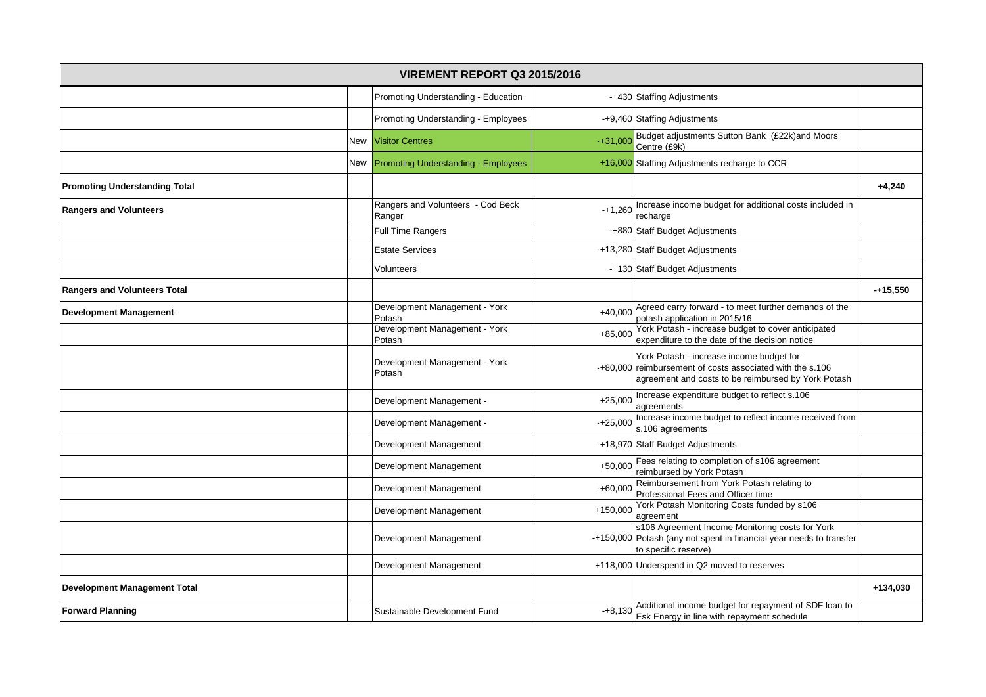|                                      |     | <b>VIREMENT REPORT Q3 2015/2016</b>         |            |                                                                                                                                                              |            |
|--------------------------------------|-----|---------------------------------------------|------------|--------------------------------------------------------------------------------------------------------------------------------------------------------------|------------|
|                                      |     | Promoting Understanding - Education         |            | -+430 Staffing Adjustments                                                                                                                                   |            |
|                                      |     | Promoting Understanding - Employees         |            | -+9,460 Staffing Adjustments                                                                                                                                 |            |
|                                      | New | <b>Visitor Centres</b>                      | $-+31.000$ | Budget adjustments Sutton Bank (£22k)and Moors<br>Centre (£9k)                                                                                               |            |
|                                      | New | <b>Promoting Understanding - Employees</b>  |            | +16,000 Staffing Adjustments recharge to CCR                                                                                                                 |            |
| <b>Promoting Understanding Total</b> |     |                                             |            |                                                                                                                                                              | $+4,240$   |
| <b>Rangers and Volunteers</b>        |     | Rangers and Volunteers - Cod Beck<br>Ranger | $-+1,260$  | Increase income budget for additional costs included in<br>recharge                                                                                          |            |
|                                      |     | Full Time Rangers                           |            | -+880 Staff Budget Adjustments                                                                                                                               |            |
|                                      |     | <b>Estate Services</b>                      |            | -+13,280 Staff Budget Adjustments                                                                                                                            |            |
|                                      |     | Volunteers                                  |            | -+130 Staff Budget Adjustments                                                                                                                               |            |
| <b>Rangers and Volunteers Total</b>  |     |                                             |            |                                                                                                                                                              | $-+15,550$ |
| <b>Development Management</b>        |     | Development Management - York<br>Potash     | $+40,000$  | Agreed carry forward - to meet further demands of the<br>potash application in 2015/16                                                                       |            |
|                                      |     | Development Management - York<br>Potash     | $+85,000$  | York Potash - increase budget to cover anticipated<br>expenditure to the date of the decision notice                                                         |            |
|                                      |     | Development Management - York<br>Potash     |            | York Potash - increase income budget for<br>-+80,000 reimbursement of costs associated with the s.106<br>agreement and costs to be reimbursed by York Potash |            |
|                                      |     | Development Management -                    | $+25,000$  | Increase expenditure budget to reflect s.106<br>agreements                                                                                                   |            |
|                                      |     | Development Management -                    | $-+25,000$ | Increase income budget to reflect income received from<br>s.106 agreements                                                                                   |            |
|                                      |     | Development Management                      |            | -+18,970 Staff Budget Adjustments                                                                                                                            |            |
|                                      |     | Development Management                      | $+50,000$  | Fees relating to completion of s106 agreement<br>reimbursed by York Potash                                                                                   |            |
|                                      |     | Development Management                      | $-+60,000$ | Reimbursement from York Potash relating to<br>Professional Fees and Officer time                                                                             |            |
|                                      |     | Development Management                      | $+150,000$ | York Potash Monitoring Costs funded by s106<br>agreement                                                                                                     |            |
|                                      |     | Development Management                      |            | s106 Agreement Income Monitoring costs for York<br>-+150,000 Potash (any not spent in financial year needs to transfer<br>to specific reserve)               |            |
|                                      |     | Development Management                      |            | +118,000 Underspend in Q2 moved to reserves                                                                                                                  |            |
| <b>Development Management Total</b>  |     |                                             |            |                                                                                                                                                              | +134,030   |
| <b>Forward Planning</b>              |     | Sustainable Development Fund                |            | -+8,130 Additional income budget for repayment of SDF loan to<br>Esk Energy in line with repayment schedule                                                  |            |